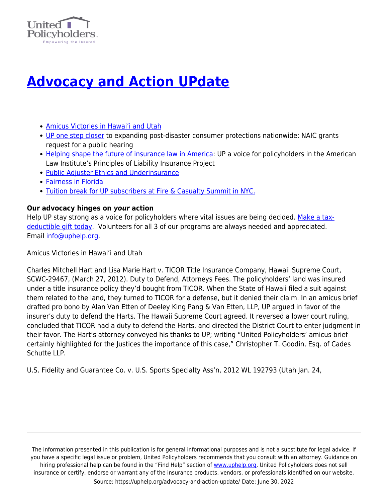

## **[Advocacy and Action UPdate](https://uphelp.org/advocacy-and-action-update/)**

- [Amicus Victories in Hawai'i and Utah](#page-0-0)
- [UP one step closer](#page-1-0) to expanding post-disaster consumer protections nationwide: NAIC grants request for a public hearing
- [Helping shape the future of insurance law in America](#page-1-1): UP a voice for policyholders in the American Law Institute's Principles of Liability Insurance Project
- [Public Adjuster Ethics and Underinsurance](#page-2-0)
- [Fairness in Florida](#page-2-1)
- [Tuition break for UP subscribers at Fire & Casualty Summit in NYC.](#page-2-2)

## **Our advocacy hinges on** *your* **action**

Help UP stay strong as a voice for policyholders where vital issues are being decided. [Make a tax](https://npo.networkforgood.org/Donate/Donate.aspx?npoSubscriptionId=1003821&code=website)[deductible gift today](https://npo.networkforgood.org/Donate/Donate.aspx?npoSubscriptionId=1003821&code=website). Volunteers for all 3 of our programs are always needed and appreciated. Email [info@uphelp.org](mailto:info@uphelp.org).

<span id="page-0-0"></span>Amicus Victories in Hawai'i and Utah

Charles Mitchell Hart and Lisa Marie Hart v. TICOR Title Insurance Company, Hawaii Supreme Court, SCWC-29467, (March 27, 2012). Duty to Defend, Attorneys Fees. The policyholders' land was insured under a title insurance policy they'd bought from TICOR. When the State of Hawaii filed a suit against them related to the land, they turned to TICOR for a defense, but it denied their claim. In an amicus brief drafted pro bono by Alan Van Etten of Deeley King Pang & Van Etten, LLP, UP argued in favor of the insurer's duty to defend the Harts. The Hawaii Supreme Court agreed. It reversed a lower court ruling, concluded that TICOR had a duty to defend the Harts, and directed the District Court to enter judgment in their favor. The Hart's attorney conveyed his thanks to UP; writing "United Policyholders' amicus brief certainly highlighted for the Justices the importance of this case," Christopher T. Goodin, Esq. of Cades Schutte LLP.

U.S. Fidelity and Guarantee Co. v. U.S. Sports Specialty Ass'n, 2012 WL 192793 (Utah Jan. 24,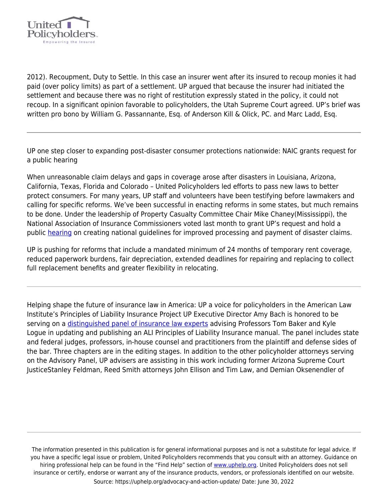

2012). Recoupment, Duty to Settle. In this case an insurer went after its insured to recoup monies it had paid (over policy limits) as part of a settlement. UP argued that because the insurer had initiated the settlement and because there was no right of restitution expressly stated in the policy, it could not recoup. In a significant opinion favorable to policyholders, the Utah Supreme Court agreed. UP's brief was written pro bono by William G. Passannante, Esq. of Anderson Kill & Olick, PC. and Marc Ladd, Esq.

<span id="page-1-0"></span>UP one step closer to expanding post-disaster consumer protections nationwide: NAIC grants request for a public hearing

When unreasonable claim delays and gaps in coverage arose after disasters in Louisiana, Arizona, California, Texas, Florida and Colorado – United Policyholders led efforts to pass new laws to better protect consumers. For many years, UP staff and volunteers have been testifying before lawmakers and calling for specific reforms. We've been successful in enacting reforms in some states, but much remains to be done. Under the leadership of Property Casualty Committee Chair Mike Chaney(Mississippi), the National Association of Insurance Commissioners voted last month to grant UP's request and hold a public [hearing](http://insurancenewsnet.com/article.aspx?id=333152) on creating national guidelines for improved processing and payment of disaster claims.

UP is pushing for reforms that include a mandated minimum of 24 months of temporary rent coverage, reduced paperwork burdens, fair depreciation, extended deadlines for repairing and replacing to collect full replacement benefits and greater flexibility in relocating.

<span id="page-1-1"></span>Helping shape the future of insurance law in America: UP a voice for policyholders in the American Law Institute's Principles of Liability Insurance Project UP Executive Director Amy Bach is honored to be serving on a [distinguished panel of insurance law experts](http://ali.org/index.cfm?fuseaction=projects.members&projectid=23) advising Professors Tom Baker and Kyle Logue in updating and publishing an ALI Principles of Liability Insurance manual. The panel includes state and federal judges, professors, in-house counsel and practitioners from the plaintiff and defense sides of the bar. Three chapters are in the editing stages. In addition to the other policyholder attorneys serving on the Advisory Panel, UP advisers are assisting in this work including former Arizona Supreme Court JusticeStanley Feldman, Reed Smith attorneys John Ellison and Tim Law, and Demian Oksenendler of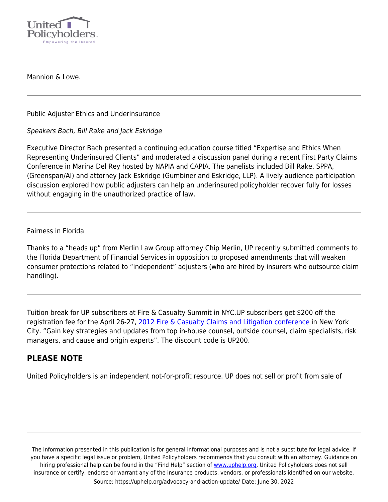

Mannion & Lowe.

<span id="page-2-0"></span>Public Adjuster Ethics and Underinsurance

Speakers Bach, Bill Rake and Jack Eskridge

Executive Director Bach presented a continuing education course titled "Expertise and Ethics When Representing Underinsured Clients" and moderated a discussion panel during a recent First Party Claims Conference in Marina Del Rey hosted by NAPIA and CAPIA. The panelists included Bill Rake, SPPA, (Greenspan/AI) and attorney Jack Eskridge (Gumbiner and Eskridge, LLP). A lively audience participation discussion explored how public adjusters can help an underinsured policyholder recover fully for losses without engaging in the unauthorized practice of law.

## <span id="page-2-1"></span>Fairness in Florida

Thanks to a "heads up" from Merlin Law Group attorney Chip Merlin, UP recently submitted comments to the Florida Department of Financial Services in opposition to proposed amendments that will weaken consumer protections related to "independent" adjusters (who are hired by insurers who outsource claim handling).

<span id="page-2-2"></span>Tuition break for UP subscribers at Fire & Casualty Summit in NYC.UP subscribers get \$200 off the registration fee for the April 26-27, [2012 Fire & Casualty Claims and Litigation conference](http://americanconference.com/fireCasualty/overview) in New York City. "Gain key strategies and updates from top in-house counsel, outside counsel, claim specialists, risk managers, and cause and origin experts". The discount code is UP200.

## **PLEASE NOTE**

United Policyholders is an independent not-for-profit resource. UP does not sell or profit from sale of